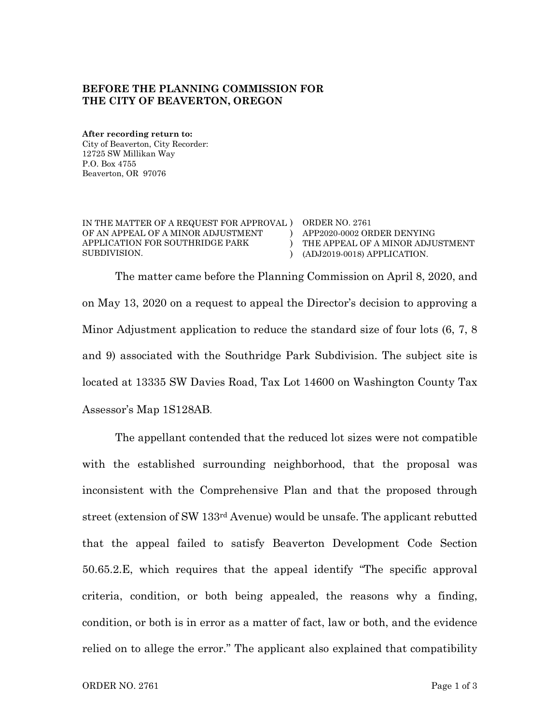## **BEFORE THE PLANNING COMMISSION FOR THE CITY OF BEAVERTON, OREGON**

**After recording return to:** City of Beaverton, City Recorder: 12725 SW Millikan Way P.O. Box 4755 Beaverton, OR 97076

IN THE MATTER OF A REQUEST FOR APPROVAL ) ORDER NO. 2761 OF AN APPEAL OF A MINOR ADJUSTMENT APPLICATION FOR SOUTHRIDGE PARK SUBDIVISION.

) APP2020-0002 ORDER DENYING ) THE APPEAL OF A MINOR ADJUSTMENT ) (ADJ2019-0018) APPLICATION.

The matter came before the Planning Commission on April 8, 2020, and on May 13, 2020 on a request to appeal the Director's decision to approving a Minor Adjustment application to reduce the standard size of four lots (6, 7, 8 and 9) associated with the Southridge Park Subdivision. The subject site is located at 13335 SW Davies Road, Tax Lot 14600 on Washington County Tax Assessor's Map 1S128AB.

The appellant contended that the reduced lot sizes were not compatible with the established surrounding neighborhood, that the proposal was inconsistent with the Comprehensive Plan and that the proposed through street (extension of SW 133rd Avenue) would be unsafe. The applicant rebutted that the appeal failed to satisfy Beaverton Development Code Section 50.65.2.E, which requires that the appeal identify "The specific approval criteria, condition, or both being appealed, the reasons why a finding, condition, or both is in error as a matter of fact, law or both, and the evidence relied on to allege the error." The applicant also explained that compatibility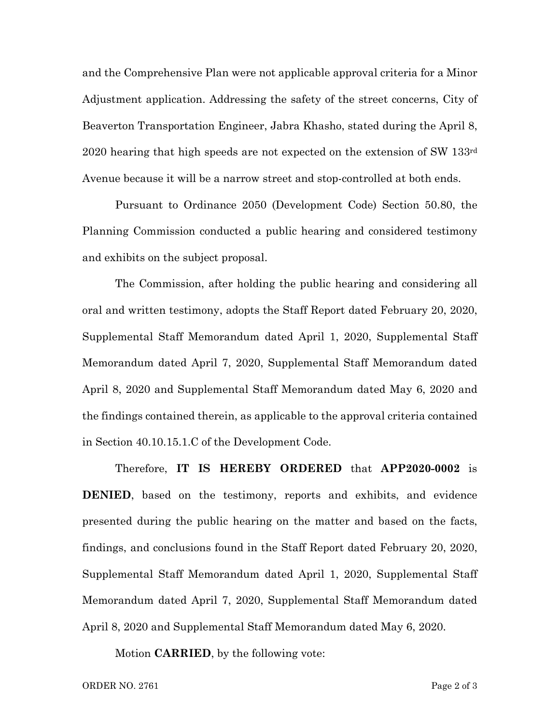and the Comprehensive Plan were not applicable approval criteria for a Minor Adjustment application. Addressing the safety of the street concerns, City of Beaverton Transportation Engineer, Jabra Khasho, stated during the April 8, 2020 hearing that high speeds are not expected on the extension of SW 133rd Avenue because it will be a narrow street and stop-controlled at both ends.

Pursuant to Ordinance 2050 (Development Code) Section 50.80, the Planning Commission conducted a public hearing and considered testimony and exhibits on the subject proposal.

The Commission, after holding the public hearing and considering all oral and written testimony, adopts the Staff Report dated February 20, 2020, Supplemental Staff Memorandum dated April 1, 2020, Supplemental Staff Memorandum dated April 7, 2020, Supplemental Staff Memorandum dated April 8, 2020 and Supplemental Staff Memorandum dated May 6, 2020 and the findings contained therein, as applicable to the approval criteria contained in Section 40.10.15.1.C of the Development Code.

Therefore, **IT IS HEREBY ORDERED** that **APP2020-0002** is **DENIED**, based on the testimony, reports and exhibits, and evidence presented during the public hearing on the matter and based on the facts, findings, and conclusions found in the Staff Report dated February 20, 2020, Supplemental Staff Memorandum dated April 1, 2020, Supplemental Staff Memorandum dated April 7, 2020, Supplemental Staff Memorandum dated April 8, 2020 and Supplemental Staff Memorandum dated May 6, 2020.

Motion **CARRIED**, by the following vote: